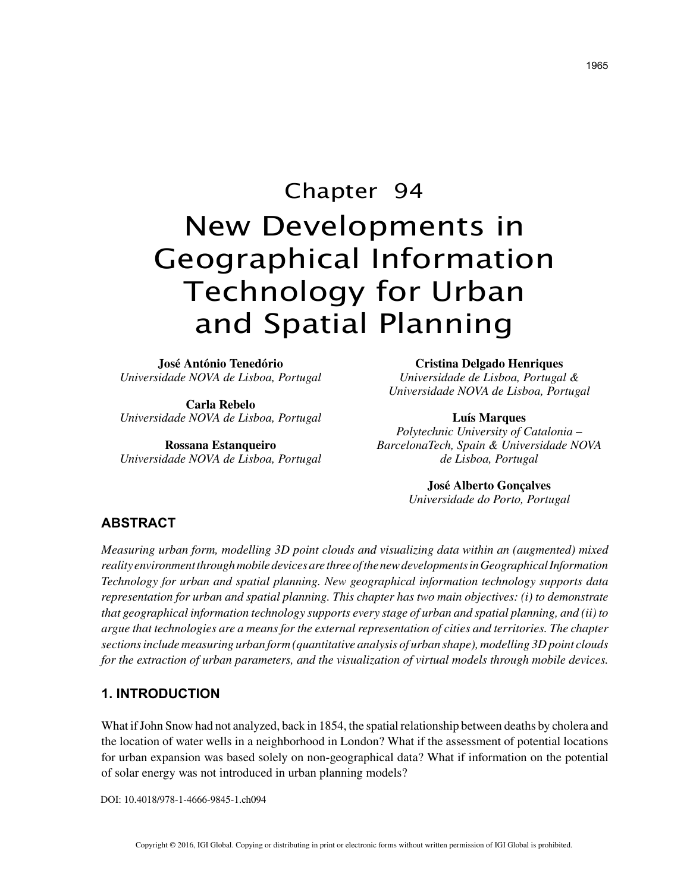# Chapter 94 New Developments in Geographical Information Technology for Urban and Spatial Planning

**José António Tenedório** *Universidade NOVA de Lisboa, Portugal*

**Carla Rebelo** *Universidade NOVA de Lisboa, Portugal*

**Rossana Estanqueiro** *Universidade NOVA de Lisboa, Portugal* **Cristina Delgado Henriques**

*Universidade de Lisboa, Portugal & Universidade NOVA de Lisboa, Portugal*

**Luís Marques** *Polytechnic University of Catalonia – BarcelonaTech, Spain & Universidade NOVA de Lisboa, Portugal*

> **José Alberto Gonçalves** *Universidade do Porto, Portugal*

# **ABSTRACT**

*Measuring urban form, modelling 3D point clouds and visualizing data within an (augmented) mixed reality environment through mobile devices are three of the new developments in Geographical Information Technology for urban and spatial planning. New geographical information technology supports data representation for urban and spatial planning. This chapter has two main objectives: (i) to demonstrate that geographical information technology supports every stage of urban and spatial planning, and (ii) to argue that technologies are a means for the external representation of cities and territories. The chapter sections include measuring urban form (quantitative analysis of urban shape), modelling 3D point clouds for the extraction of urban parameters, and the visualization of virtual models through mobile devices.*

# **1. INTRODUCTION**

What if John Snow had not analyzed, back in 1854, the spatial relationship between deaths by cholera and the location of water wells in a neighborhood in London? What if the assessment of potential locations for urban expansion was based solely on non-geographical data? What if information on the potential of solar energy was not introduced in urban planning models?

DOI: 10.4018/978-1-4666-9845-1.ch094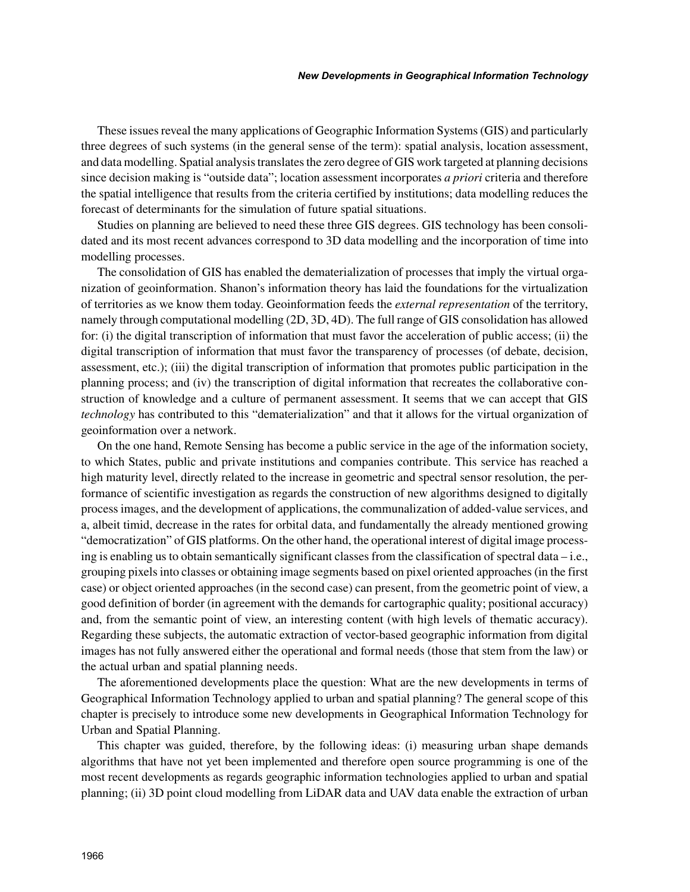These issues reveal the many applications of Geographic Information Systems (GIS) and particularly three degrees of such systems (in the general sense of the term): spatial analysis, location assessment, and data modelling. Spatial analysis translates the zero degree of GIS work targeted at planning decisions since decision making is "outside data"; location assessment incorporates *a priori* criteria and therefore the spatial intelligence that results from the criteria certified by institutions; data modelling reduces the forecast of determinants for the simulation of future spatial situations.

Studies on planning are believed to need these three GIS degrees. GIS technology has been consolidated and its most recent advances correspond to 3D data modelling and the incorporation of time into modelling processes.

The consolidation of GIS has enabled the dematerialization of processes that imply the virtual organization of geoinformation. Shanon's information theory has laid the foundations for the virtualization of territories as we know them today. Geoinformation feeds the *external representation* of the territory, namely through computational modelling (2D, 3D, 4D). The full range of GIS consolidation has allowed for: (i) the digital transcription of information that must favor the acceleration of public access; (ii) the digital transcription of information that must favor the transparency of processes (of debate, decision, assessment, etc.); (iii) the digital transcription of information that promotes public participation in the planning process; and (iv) the transcription of digital information that recreates the collaborative construction of knowledge and a culture of permanent assessment. It seems that we can accept that GIS *technology* has contributed to this "dematerialization" and that it allows for the virtual organization of geoinformation over a network.

On the one hand, Remote Sensing has become a public service in the age of the information society, to which States, public and private institutions and companies contribute. This service has reached a high maturity level, directly related to the increase in geometric and spectral sensor resolution, the performance of scientific investigation as regards the construction of new algorithms designed to digitally process images, and the development of applications, the communalization of added-value services, and a, albeit timid, decrease in the rates for orbital data, and fundamentally the already mentioned growing "democratization" of GIS platforms. On the other hand, the operational interest of digital image processing is enabling us to obtain semantically significant classes from the classification of spectral data – i.e., grouping pixels into classes or obtaining image segments based on pixel oriented approaches (in the first case) or object oriented approaches (in the second case) can present, from the geometric point of view, a good definition of border (in agreement with the demands for cartographic quality; positional accuracy) and, from the semantic point of view, an interesting content (with high levels of thematic accuracy). Regarding these subjects, the automatic extraction of vector-based geographic information from digital images has not fully answered either the operational and formal needs (those that stem from the law) or the actual urban and spatial planning needs.

The aforementioned developments place the question: What are the new developments in terms of Geographical Information Technology applied to urban and spatial planning? The general scope of this chapter is precisely to introduce some new developments in Geographical Information Technology for Urban and Spatial Planning.

This chapter was guided, therefore, by the following ideas: (i) measuring urban shape demands algorithms that have not yet been implemented and therefore open source programming is one of the most recent developments as regards geographic information technologies applied to urban and spatial planning; (ii) 3D point cloud modelling from LiDAR data and UAV data enable the extraction of urban